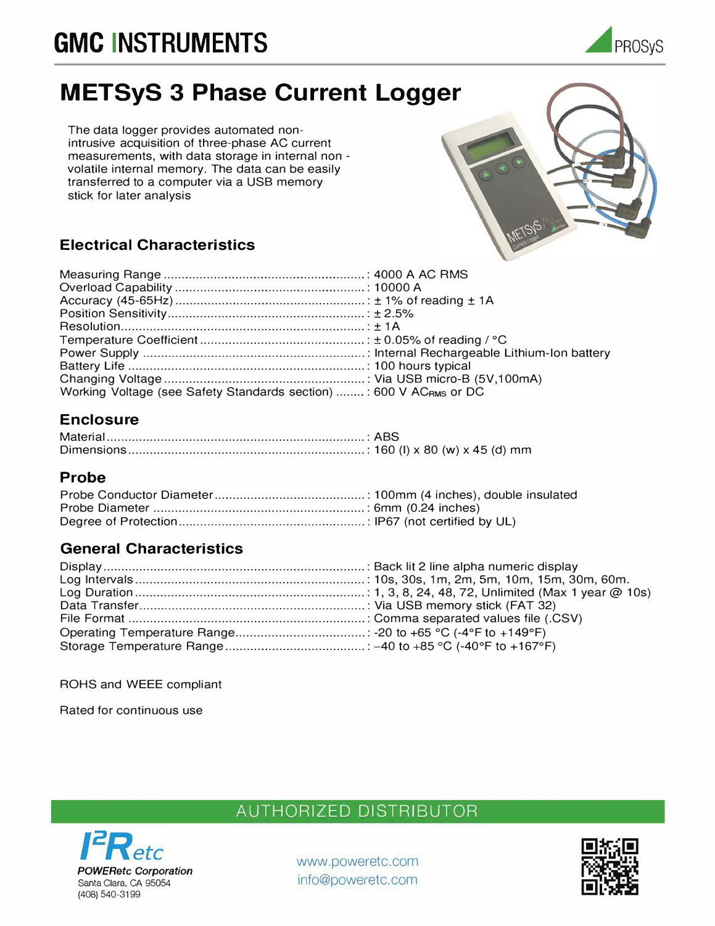# **GMC INSTRUMENTS**



## **METSyS 3 Phase Current Logger**

The data logger provides automated nonintrusive acquisition of three-phase AC current measurements, with data storage in internal non volatile internal memory. The data can be easily transferred to a computer via a USB memory stick for later analysis

## **Electrical Characteristics**

| Working Voltage (see Safety Standards section) : 600 V AC <sub>RMS</sub> or DC |  |
|--------------------------------------------------------------------------------|--|

### **Enclosure**

#### **Probe**

#### **General Characteristics**

ROHS and WEEE compliant

Rated for continuous use



## AUTHORIZED DISTRIBUTOR

www.poweretc.com info@poweretc.com